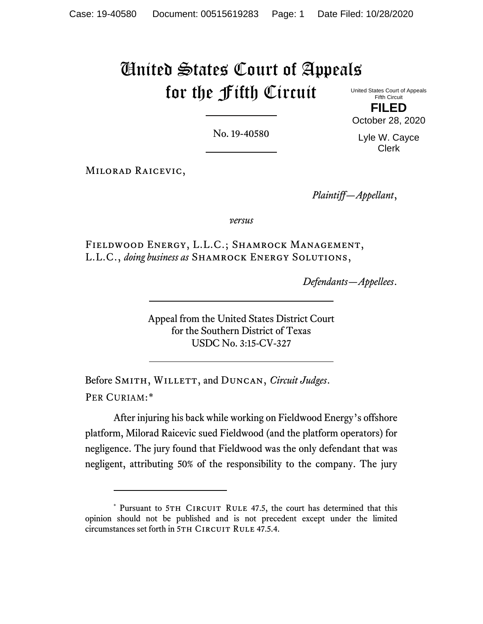# United States Court of Appeals for the Fifth Circuit

United States Court of Appeals Fifth Circuit

**FILED** October 28, 2020

No. 19-40580

Lyle W. Cayce Clerk

Milorad Raicevic,

*Plaintiff—Appellant*,

*versus*

Fieldwood Energy, L.L.C.; Shamrock Management, L.L.C., *doing business as* Shamrock Energy Solutions,

*Defendants—Appellees*.

Appeal from the United States District Court for the Southern District of Texas USDC No. 3:15-CV-327

Before SMITH, WILLETT, and DUNCAN, *Circuit Judges*. PER CURIAM:[\\*](#page-0-0)

After injuring his back while working on Fieldwood Energy's offshore platform, Milorad Raicevic sued Fieldwood (and the platform operators) for negligence. The jury found that Fieldwood was the only defendant that was negligent, attributing 50% of the responsibility to the company. The jury

<span id="page-0-0"></span><sup>\*</sup> Pursuant to 5TH CIRCUIT RULE 47.5, the court has determined that this opinion should not be published and is not precedent except under the limited circumstances set forth in 5TH CIRCUIT RULE 47.5.4.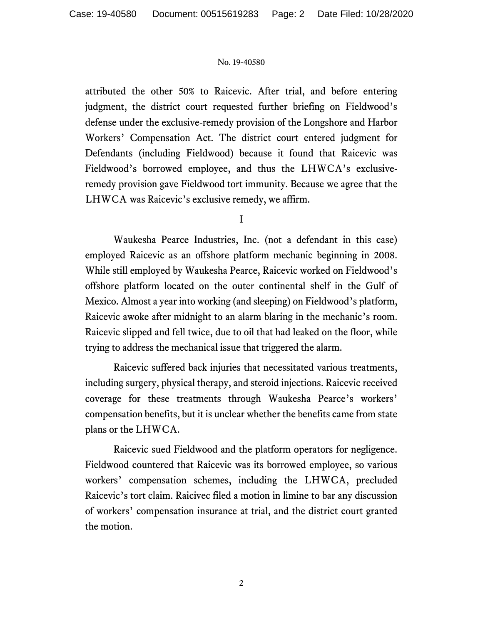attributed the other 50% to Raicevic. After trial, and before entering judgment, the district court requested further briefing on Fieldwood's defense under the exclusive-remedy provision of the Longshore and Harbor Workers' Compensation Act. The district court entered judgment for Defendants (including Fieldwood) because it found that Raicevic was Fieldwood's borrowed employee, and thus the LHWCA's exclusiveremedy provision gave Fieldwood tort immunity. Because we agree that the LHWCA was Raicevic's exclusive remedy, we affirm.

I

Waukesha Pearce Industries, Inc. (not a defendant in this case) employed Raicevic as an offshore platform mechanic beginning in 2008. While still employed by Waukesha Pearce, Raicevic worked on Fieldwood's offshore platform located on the outer continental shelf in the Gulf of Mexico. Almost a year into working (and sleeping) on Fieldwood's platform, Raicevic awoke after midnight to an alarm blaring in the mechanic's room. Raicevic slipped and fell twice, due to oil that had leaked on the floor, while trying to address the mechanical issue that triggered the alarm.

Raicevic suffered back injuries that necessitated various treatments, including surgery, physical therapy, and steroid injections. Raicevic received coverage for these treatments through Waukesha Pearce's workers' compensation benefits, but it is unclear whether the benefits came from state plans or the LHWCA.

Raicevic sued Fieldwood and the platform operators for negligence. Fieldwood countered that Raicevic was its borrowed employee, so various workers' compensation schemes, including the LHWCA, precluded Raicevic's tort claim. Raicivec filed a motion in limine to bar any discussion of workers' compensation insurance at trial, and the district court granted the motion.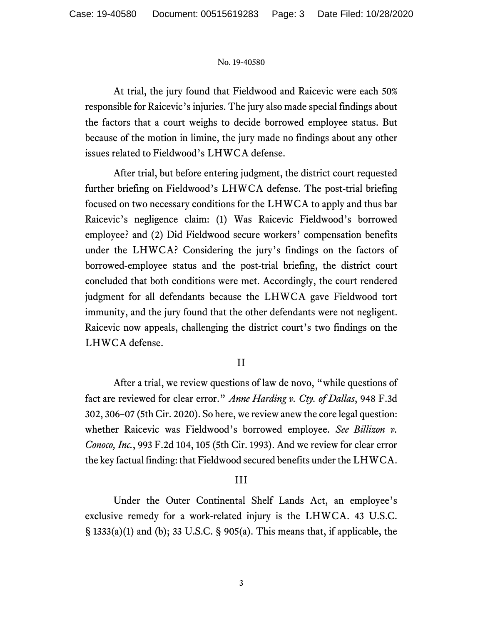At trial, the jury found that Fieldwood and Raicevic were each 50% responsible for Raicevic's injuries. The jury also made special findings about the factors that a court weighs to decide borrowed employee status. But because of the motion in limine, the jury made no findings about any other issues related to Fieldwood's LHWCA defense.

After trial, but before entering judgment, the district court requested further briefing on Fieldwood's LHWCA defense. The post-trial briefing focused on two necessary conditions for the LHWCA to apply and thus bar Raicevic's negligence claim: (1) Was Raicevic Fieldwood's borrowed employee? and (2) Did Fieldwood secure workers' compensation benefits under the LHWCA? Considering the jury's findings on the factors of borrowed-employee status and the post-trial briefing, the district court concluded that both conditions were met. Accordingly, the court rendered judgment for all defendants because the LHWCA gave Fieldwood tort immunity, and the jury found that the other defendants were not negligent. Raicevic now appeals, challenging the district court's two findings on the LHWCA defense.

## II

After a trial, we review questions of law de novo, "while questions of fact are reviewed for clear error." *Anne Harding v. Cty. of Dallas*, 948 F.3d 302, 306–07 (5th Cir. 2020). So here, we review anew the core legal question: whether Raicevic was Fieldwood's borrowed employee. *See Billizon v. Conoco, Inc.*, 993 F.2d 104, 105 (5th Cir. 1993). And we review for clear error the key factual finding: that Fieldwood secured benefits under the LHWCA.

## III

Under the Outer Continental Shelf Lands Act, an employee's exclusive remedy for a work-related injury is the LHWCA. 43 U.S.C. § 1333(a)(1) and (b); 33 U.S.C. § 905(a). This means that, if applicable, the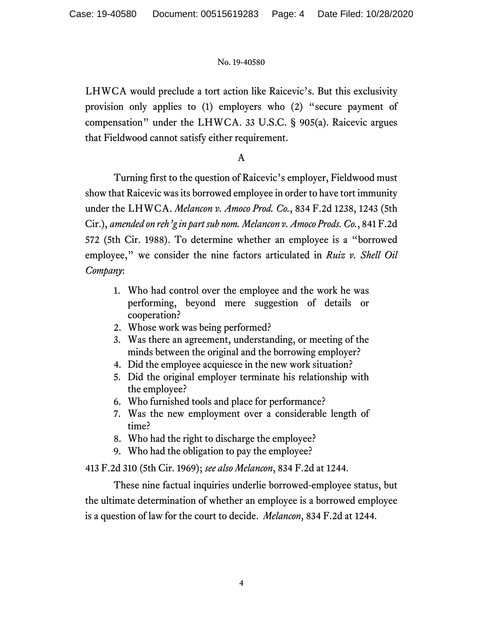LHWCA would preclude a tort action like Raicevic's. But this exclusivity provision only applies to (1) employers who (2) "secure payment of compensation" under the LHWCA. 33 U.S.C. § 905(a). Raicevic argues that Fieldwood cannot satisfy either requirement.

## A

Turning first to the question of Raicevic's employer, Fieldwood must show that Raicevic was its borrowed employee in order to have tort immunity under the LHWCA. *Melancon v. Amoco Prod. Co.*, 834 F.2d 1238, 1243 (5th Cir.), *amended on reh'g in part sub nom. Melancon v. Amoco Prods. Co.*, 841 F.2d 572 (5th Cir. 1988). To determine whether an employee is a "borrowed employee," we consider the nine factors articulated in *Ruiz v. Shell Oil Company*:

- 1. Who had control over the employee and the work he was performing, beyond mere suggestion of details or cooperation?
- 2. Whose work was being performed?
- 3. Was there an agreement, understanding, or meeting of the minds between the original and the borrowing employer?
- 4. Did the employee acquiesce in the new work situation?
- 5. Did the original employer terminate his relationship with the employee?
- 6. Who furnished tools and place for performance?
- 7. Was the new employment over a considerable length of time?
- 8. Who had the right to discharge the employee?
- 9. Who had the obligation to pay the employee?

413 F.2d 310 (5th Cir. 1969); *see also Melancon*, 834 F.2d at 1244.

These nine factual inquiries underlie borrowed-employee status, but the ultimate determination of whether an employee is a borrowed employee is a question of law for the court to decide. *Melancon*, 834 F.2d at 1244.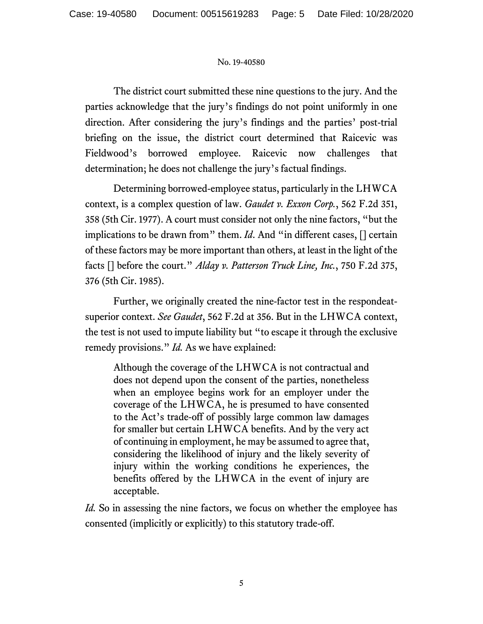The district court submitted these nine questions to the jury. And the parties acknowledge that the jury's findings do not point uniformly in one direction. After considering the jury's findings and the parties' post-trial briefing on the issue, the district court determined that Raicevic was Fieldwood's borrowed employee. Raicevic now challenges that determination; he does not challenge the jury's factual findings.

Determining borrowed-employee status, particularly in the LHWCA context, is a complex question of law. *Gaudet v. Exxon Corp.*, 562 F.2d 351, 358 (5th Cir. 1977). A court must consider not only the nine factors, "but the implications to be drawn from" them. *Id*. And "in different cases, [] certain of these factors may be more important than others, at least in the light of the facts [] before the court." *Alday v. Patterson Truck Line, Inc.*, 750 F.2d 375, 376 (5th Cir. 1985).

Further, we originally created the nine-factor test in the respondeatsuperior context. *See Gaudet*, 562 F.2d at 356. But in the LHWCA context, the test is not used to impute liability but "to escape it through the exclusive remedy provisions." *Id.* As we have explained:

Although the coverage of the LHWCA is not contractual and does not depend upon the consent of the parties, nonetheless when an employee begins work for an employer under the coverage of the LHWCA, he is presumed to have consented to the Act's trade-off of possibly large common law damages for smaller but certain LHWCA benefits. And by the very act of continuing in employment, he may be assumed to agree that, considering the likelihood of injury and the likely severity of injury within the working conditions he experiences, the benefits offered by the LHWCA in the event of injury are acceptable.

*Id.* So in assessing the nine factors, we focus on whether the employee has consented (implicitly or explicitly) to this statutory trade-off.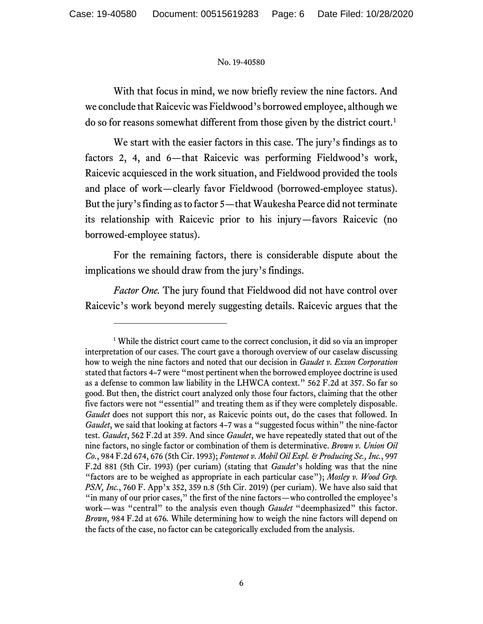With that focus in mind, we now briefly review the nine factors. And we conclude that Raicevic was Fieldwood's borrowed employee, although we do so for reasons somewhat different from those given by the district court.<sup>[1](#page-5-0)</sup>

We start with the easier factors in this case. The jury's findings as to factors 2, 4, and 6—that Raicevic was performing Fieldwood's work, Raicevic acquiesced in the work situation, and Fieldwood provided the tools and place of work—clearly favor Fieldwood (borrowed-employee status). But the jury's finding as to factor 5—that Waukesha Pearce did not terminate its relationship with Raicevic prior to his injury—favors Raicevic (no borrowed-employee status).

For the remaining factors, there is considerable dispute about the implications we should draw from the jury's findings.

*Factor One.* The jury found that Fieldwood did not have control over Raicevic's work beyond merely suggesting details. Raicevic argues that the

<span id="page-5-0"></span><sup>&</sup>lt;sup>1</sup> While the district court came to the correct conclusion, it did so via an improper interpretation of our cases. The court gave a thorough overview of our caselaw discussing how to weigh the nine factors and noted that our decision in *Gaudet v. Exxon Corporation* stated that factors 4–7 were "most pertinent when the borrowed employee doctrine is used as a defense to common law liability in the LHWCA context." 562 F.2d at 357. So far so good. But then, the district court analyzed only those four factors, claiming that the other five factors were not "essential" and treating them as if they were completely disposable. *Gaudet* does not support this nor, as Raicevic points out, do the cases that followed. In *Gaudet*, we said that looking at factors 4–7 was a "suggested focus within" the nine-factor test. *Gaudet*, 562 F.2d at 359. And since *Gaudet*, we have repeatedly stated that out of the nine factors, no single factor or combination of them is determinative. *Brown v. Union Oil Co.*, 984 F.2d 674, 676 (5th Cir. 1993); *Fontenot v. Mobil Oil Expl. & Producing Se., Inc.*, 997 F.2d 881 (5th Cir. 1993) (per curiam) (stating that *Gaudet*'s holding was that the nine "factors are to be weighed as appropriate in each particular case"); *Mosley v. Wood Grp. PSN, Inc.*, 760 F. App'x 352, 359 n.8 (5th Cir. 2019) (per curiam). We have also said that "in many of our prior cases," the first of the nine factors—who controlled the employee's work—was "central" to the analysis even though *Gaudet* "deemphasized" this factor. *Brown*, 984 F.2d at 676*.* While determining how to weigh the nine factors will depend on the facts of the case, no factor can be categorically excluded from the analysis.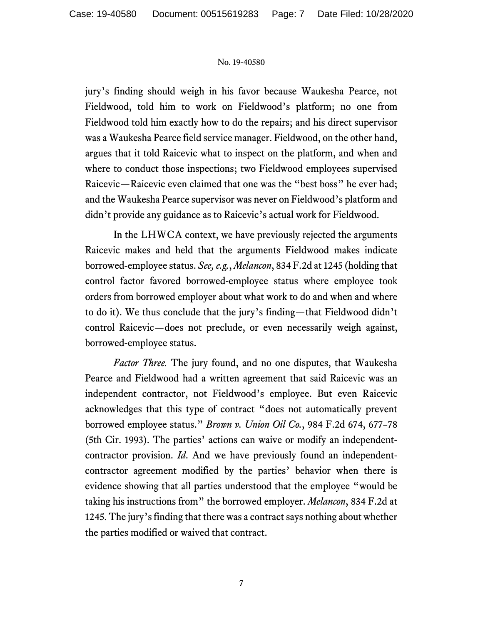jury's finding should weigh in his favor because Waukesha Pearce, not Fieldwood, told him to work on Fieldwood's platform; no one from Fieldwood told him exactly how to do the repairs; and his direct supervisor was a Waukesha Pearce field service manager. Fieldwood, on the other hand, argues that it told Raicevic what to inspect on the platform, and when and where to conduct those inspections; two Fieldwood employees supervised Raicevic—Raicevic even claimed that one was the "best boss" he ever had; and the Waukesha Pearce supervisor was never on Fieldwood's platform and didn't provide any guidance as to Raicevic's actual work for Fieldwood.

In the LHWCA context, we have previously rejected the arguments Raicevic makes and held that the arguments Fieldwood makes indicate borrowed-employee status. *See, e.g.*, *Melancon*, 834 F.2d at 1245 (holding that control factor favored borrowed-employee status where employee took orders from borrowed employer about what work to do and when and where to do it). We thus conclude that the jury's finding—that Fieldwood didn't control Raicevic—does not preclude, or even necessarily weigh against, borrowed-employee status.

*Factor Three.* The jury found, and no one disputes, that Waukesha Pearce and Fieldwood had a written agreement that said Raicevic was an independent contractor, not Fieldwood's employee. But even Raicevic acknowledges that this type of contract "does not automatically prevent borrowed employee status." *Brown v. Union Oil Co.*, 984 F.2d 674, 677–78 (5th Cir. 1993). The parties' actions can waive or modify an independentcontractor provision. *Id*. And we have previously found an independentcontractor agreement modified by the parties' behavior when there is evidence showing that all parties understood that the employee "would be taking his instructions from" the borrowed employer. *Melancon*, 834 F.2d at 1245. The jury's finding that there was a contract says nothing about whether the parties modified or waived that contract.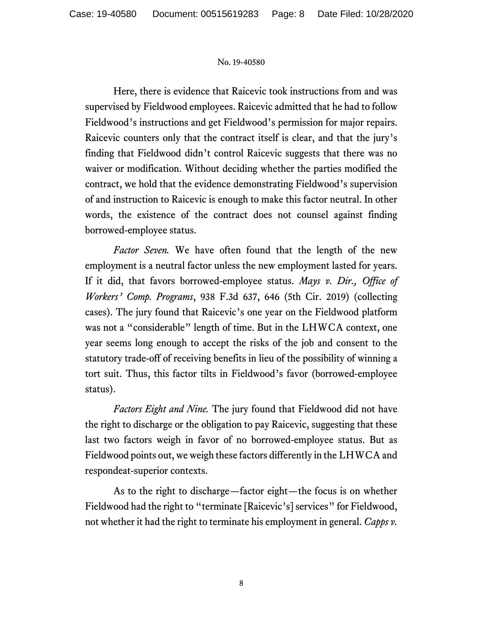Here, there is evidence that Raicevic took instructions from and was supervised by Fieldwood employees. Raicevic admitted that he had to follow Fieldwood's instructions and get Fieldwood's permission for major repairs. Raicevic counters only that the contract itself is clear, and that the jury's finding that Fieldwood didn't control Raicevic suggests that there was no waiver or modification. Without deciding whether the parties modified the contract, we hold that the evidence demonstrating Fieldwood's supervision of and instruction to Raicevic is enough to make this factor neutral. In other words, the existence of the contract does not counsel against finding borrowed-employee status.

*Factor Seven.* We have often found that the length of the new employment is a neutral factor unless the new employment lasted for years. If it did, that favors borrowed-employee status. *Mays v. Dir., Office of Workers' Comp. Programs*, 938 F.3d 637, 646 (5th Cir. 2019) (collecting cases). The jury found that Raicevic's one year on the Fieldwood platform was not a "considerable" length of time. But in the LHWCA context, one year seems long enough to accept the risks of the job and consent to the statutory trade-off of receiving benefits in lieu of the possibility of winning a tort suit. Thus, this factor tilts in Fieldwood's favor (borrowed-employee status).

*Factors Eight and Nine.* The jury found that Fieldwood did not have the right to discharge or the obligation to pay Raicevic, suggesting that these last two factors weigh in favor of no borrowed-employee status. But as Fieldwood points out, we weigh these factors differently in the LHWCA and respondeat-superior contexts.

As to the right to discharge—factor eight—the focus is on whether Fieldwood had the right to "terminate [Raicevic's] services" for Fieldwood, not whether it had the right to terminate his employment in general. *Capps v.*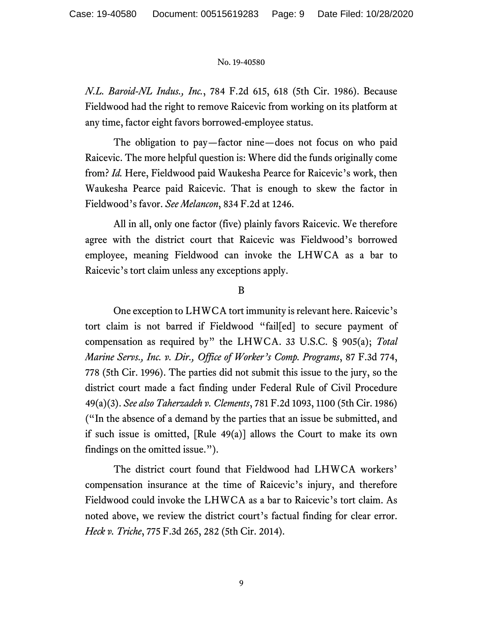*N.L. Baroid-NL Indus., Inc.*, 784 F.2d 615, 618 (5th Cir. 1986). Because Fieldwood had the right to remove Raicevic from working on its platform at any time, factor eight favors borrowed-employee status.

The obligation to pay—factor nine—does not focus on who paid Raicevic. The more helpful question is: Where did the funds originally come from? *Id.* Here, Fieldwood paid Waukesha Pearce for Raicevic's work, then Waukesha Pearce paid Raicevic. That is enough to skew the factor in Fieldwood's favor. *See Melancon*, 834 F.2d at 1246.

All in all, only one factor (five) plainly favors Raicevic. We therefore agree with the district court that Raicevic was Fieldwood's borrowed employee, meaning Fieldwood can invoke the LHWCA as a bar to Raicevic's tort claim unless any exceptions apply.

B

One exception to LHWCA tort immunity is relevant here. Raicevic's tort claim is not barred if Fieldwood "fail[ed] to secure payment of compensation as required by" the LHWCA. 33 U.S.C. § 905(a); *Total Marine Servs., Inc. v. Dir., Office of Worker's Comp. Programs*, 87 F.3d 774, 778 (5th Cir. 1996). The parties did not submit this issue to the jury, so the district court made a fact finding under Federal Rule of Civil Procedure 49(a)(3). *See also Taherzadeh v. Clements*, 781 F.2d 1093, 1100 (5th Cir. 1986) ("In the absence of a demand by the parties that an issue be submitted, and if such issue is omitted, [Rule 49(a)] allows the Court to make its own findings on the omitted issue.").

The district court found that Fieldwood had LHWCA workers' compensation insurance at the time of Raicevic's injury, and therefore Fieldwood could invoke the LHWCA as a bar to Raicevic's tort claim. As noted above, we review the district court's factual finding for clear error. *Heck v. Triche*, 775 F.3d 265, 282 (5th Cir. 2014).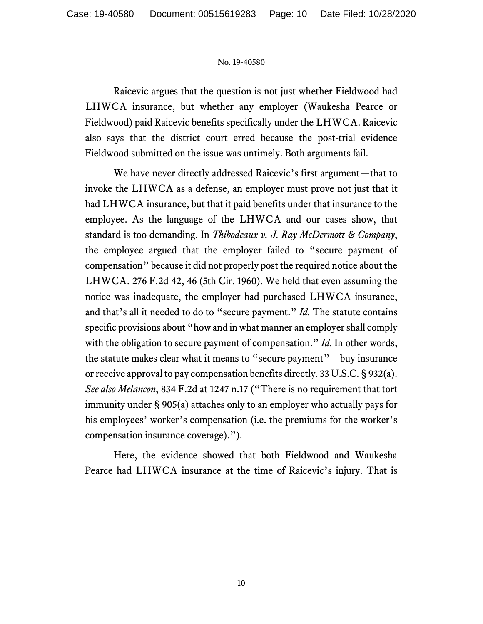Raicevic argues that the question is not just whether Fieldwood had LHWCA insurance, but whether any employer (Waukesha Pearce or Fieldwood) paid Raicevic benefits specifically under the LHWCA. Raicevic also says that the district court erred because the post-trial evidence Fieldwood submitted on the issue was untimely. Both arguments fail.

We have never directly addressed Raicevic's first argument—that to invoke the LHWCA as a defense, an employer must prove not just that it had LHWCA insurance, but that it paid benefits under that insurance to the employee. As the language of the LHWCA and our cases show, that standard is too demanding. In *Thibodeaux v. J. Ray McDermott & Company*, the employee argued that the employer failed to "secure payment of compensation" because it did not properly post the required notice about the LHWCA. 276 F.2d 42, 46 (5th Cir. 1960). We held that even assuming the notice was inadequate, the employer had purchased LHWCA insurance, and that's all it needed to do to "secure payment." *Id.* The statute contains specific provisions about "how and in what manner an employer shall comply with the obligation to secure payment of compensation." *Id.* In other words, the statute makes clear what it means to "secure payment"—buy insurance or receive approval to pay compensation benefits directly. 33 U.S.C. § 932(a). *See also Melancon*, 834 F.2d at 1247 n.17 ("There is no requirement that tort immunity under § 905(a) attaches only to an employer who actually pays for his employees' worker's compensation (i.e. the premiums for the worker's compensation insurance coverage).").

Here, the evidence showed that both Fieldwood and Waukesha Pearce had LHWCA insurance at the time of Raicevic's injury. That is